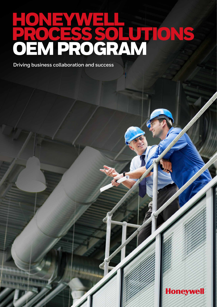# HONEYWELL PROCESS SOLUTIONS OEM PROGRAM

**Driving business collaboration and success**

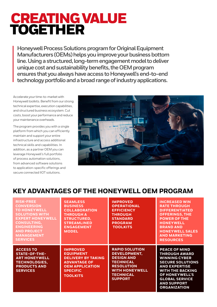### CREATING VALUE TOGETHER

**Honeywell Process Solutions program for Original Equipment Manufacturers (OEMs) helps you improve your business bottom line. Using a structured, long-term engagement model to deliver unique cost and sustainability benefits, the OEM program ensures that you always have access to Honeywell's end-to-end technology portfolio and a broad range of industry applications.**

Accelerate your time-to-market with Honeywell toolkits. Benefit from our strong technical expertise, execution capabilities, and structured business ecosystem. Cut costs, boost your performance and reduce your maintenance overheads.

The program provides you with a single platform from which you can efficiently maintain and support your entire infrastructure and access additional technical skills and capabilities. In addition, as a partner OEM you can leverage Honeywell's full portfolio of process automation solutions, from advanced software solutions to application-specific offerings and secure connected IIOT solutions.



### **KEY ADVANTAGES OF THE HONEYWELL OEM PROGRAM**

| <b>RISK-FREE</b><br><b>CONVERSION</b><br><b>TO HONEYWELL</b><br><b>SOLUTIONS WITH</b><br><b>EXPERT HONEYWELL</b><br><b>CONSULTING,</b><br><b>ENGINEERING</b><br><b>AND PROJECT</b><br><b>MANAGEMENT</b><br><b>SERVICES</b> | <b>SEAMLESS</b><br><b>BUSINESS</b><br><b>COLLABORATION</b><br><b>THROUGH A</b><br><b>STRUCTURED,</b><br><b>STREAMLINED</b><br><b>ENGAGEMENT</b><br><b>MODEL</b> | <b>IMPROVED</b><br><b>OPERATIONAL</b><br><b>EFFICIENCY</b><br><b>THROUGH</b><br><b>STANDARD</b><br><b>PROGRAM</b><br><b>TOOLKITS</b>                               | <b>INCREASED WIN</b><br><b>RATE THROUGH</b><br><b>DIFFERENTIATED</b><br><b>OFFERINGS, THE</b><br><b>POWER OF THE</b><br><b>HONEYWELL</b><br><b>BRAND AND</b><br><b>HONEYWELL SALES</b><br><b>AND MARKETING</b><br><b>RESOURCES</b>                |
|----------------------------------------------------------------------------------------------------------------------------------------------------------------------------------------------------------------------------|-----------------------------------------------------------------------------------------------------------------------------------------------------------------|--------------------------------------------------------------------------------------------------------------------------------------------------------------------|---------------------------------------------------------------------------------------------------------------------------------------------------------------------------------------------------------------------------------------------------|
| <b>ACCESS TO</b><br><b>STATE-OF-THE-</b><br><b>ART HONEYWELL</b><br><b>TECHNOLOGIES,</b><br><b>PRODUCTS AND</b><br><b>SERVICES</b>                                                                                         | <b>IMPROVED</b><br><b>EQUIPMENT</b><br><b>DELIVERY BY TAKING</b><br><b>ADVANTAGE OF</b><br><b>OEM APPLICATION</b><br><b>SPECIFIC</b><br><b>TOOLKITS</b>         | <b>RAPID SOLUTION</b><br>DEVELOPMENT,<br><b>DESIGN AND</b><br><b>TECHNICAL</b><br><b>RESOLUTION</b><br><b>WITH HONEYWELL</b><br><b>TECHNICAL</b><br><b>SUPPORT</b> | <b>PEACE OF MIND</b><br><b>THROUGH AWARD</b><br><b>WINNING CYBER</b><br><b>SECURE SOLUTIONS</b><br><b>AND EXPERTISE</b><br><b>WITH THE BACKING</b><br><b>OF HONEYWELL'S</b><br><b>GLOBAL SERVICE</b><br><b>AND SUPPORT</b><br><b>ORGANIZATION</b> |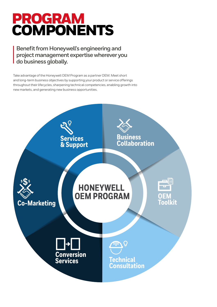## PROGRAM **COMPONENTS**

**Benefit from Honeywell's engineering and project management expertise wherever you do business globally.**

Take advantage of the Honeywell OEM Program as a partner OEM. Meet short and long-term business objectives by supporting your product or service offerings throughout their lifecycles, sharpening technical competencies, enabling growth into new markets, and generating new business opportunities.

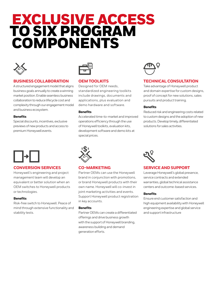### EXCLUSIVE ACCESS TO SIX PROGRAM COMPONENTS



#### **BUSINESS COLLABORATION**

A structured engagement model that aligns business goals annually to create a winning market position. Enable seamless business collaboration to reduce lifecycle cost and complexity through our engagement model and business ecosystem.

#### **Benefits**

Special discounts, incentives, exclusive previews of new products and access to premium Honeywell events.

#### **CONVERSION SERVICES**

Honeywell's engineering and project management team will develop an equivalent or better solution when an OEM switches to Honeywell products or technologies.

#### **Benefits**

Risk-free switch to Honeywell. Peace of mind through extensive functionality and stability tests.



#### **OEM TOOLKITS**

Designed for OEM needs, standardized engineering toolkits include drawings, documents and applications, plus evaluation and demo hardware and software.

#### **Benefits**

Accelerated time-to-market and improved operations efficiency through the use of Honeywell toolkits, evaluation kits, development software and demo kits at special prices.



#### **TECHNICAL CONSULTATION**

Take advantage of Honeywell product and domain expertise for custom designs, proof of concept for new solutions, sales pursuits and product training.

#### **Benefits**

Reduced risk and engineering costs related to custom designs and the adoption of new products. Develop timely, differentiated solutions for sales activities.



#### **CO-MARKETING**

Partner OEMs can use the Honeywell brand in conjunction with promotions, or brand Honeywell products with their own name. Honeywell will co-invest in joint marketing activities and events. Support Honeywell product registration in key accounts.

#### **Benefits**

Partner OEMs can create a differentiated offerings and drive business growth with the support of Honeywell branding, awareness building and demand generation efforts.



#### **SERVICE AND SUPPORT**

Leverage Honeywell's global presence, service contracts and extended warranties, global technical assistance centers and outcome-based services.

#### **Benefits**

Ensure end customer satisfaction and high equipment availability with Honeywell engineering expertise and global service and support infrastructure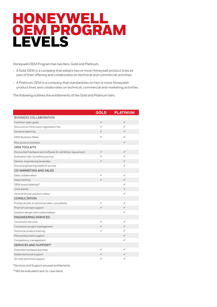### HONEYWELL OEM PROGRAM LEVELS

Honeywell OEM Program has two tiers: Gold and Platinum.

- A Gold OEM is a company that adopts two or more Honeywell product lines as part of their offering and collaborates on technical and commercial activities.
- A Platinum OEM is a company that standardizes on two or more Honeywell product lines and collaborates on technical, commercial and marketing activities.

The following outlines the entitlements of the Gold and Platinum tiers.

|                                                           | <b>GOLD</b>  | <b>PLATINUM</b> |
|-----------------------------------------------------------|--------------|-----------------|
| <b>BUSINESS COLLABORATION</b>                             |              |                 |
| Common sales goals                                        | $\checkmark$ | $\checkmark$    |
| Discount on HUG event registration fee                    | ✓            | ✓               |
| Demand planning                                           | ✓            | ✓               |
| <b>OEM Business Week</b>                                  | ✓            | ✓               |
| New product previews                                      |              | ✓               |
| <b>OEM TOOLKITS</b>                                       |              |                 |
| Discounted hardware and software for exhibition equipment | $\checkmark$ | ✓               |
| Evaluation kits: try before you buy                       | ✓            | ✓               |
| Generic engineering templates                             | ✓            | ✓               |
| Virtual engineering platform access                       |              | ✓               |
| <b>CO-MARKETING AND SALES</b>                             |              |                 |
| Sales collaboration                                       | ✓            | ✓               |
| Sales training                                            | ✓            | ✓               |
| OEM brand labeling**                                      |              | ✓               |
| Joint events                                              |              | $\checkmark$    |
| Joint technical solution videos                           |              | ✓               |
| <b>CONSULTATION</b>                                       |              |                 |
| Priority access to technical sales consultants            | ✓            | ✓               |
| Proof of concept support                                  | ✓            | ✓               |
| Solution design and customization                         |              | ✓               |
| <b>ENGINEERING SERVICES</b>                               |              |                 |
| Conversion services                                       | ✓            | ✓               |
| Conversion project management                             | ✓            | ✓               |
| Technical product training                                | ✓            | ✓               |
| Pilot product test support                                |              | ✓               |
| Competency management                                     |              | ✓               |
| SERVICES AND SUPPORT*                                     |              |                 |
| Extended hardware warranty                                | ✓            | ✓               |
| Global technical support                                  | ✓            | ✓               |
| On-Site technical support                                 | $\checkmark$ | ✓               |

*\*Services and Support are paid entitlements*

*\*\*Will be evaluated case-to-case basis*